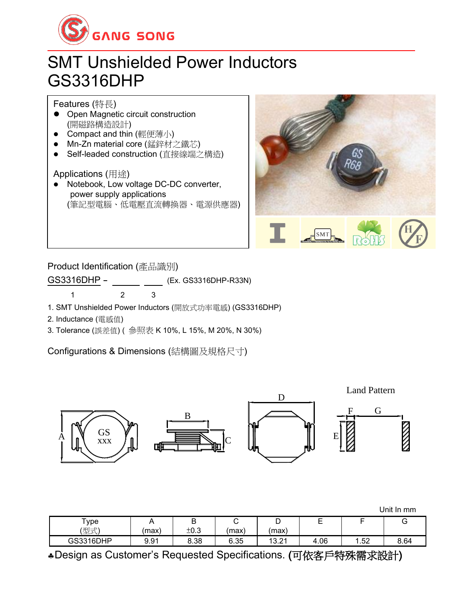

## SMT Unshielded Power Inductors GS3316DHP

Features (特長)

- Open Magnetic circuit construction (開磁路構造設計)
- Compact and thin (輕便薄小)
- Mn-Zn material core (錳鋅材之鐵芯)
- ⚫ Self-leaded construction (直接線端之構造)

## Applications (用途)

● Notebook, Low voltage DC-DC converter, power supply applications (筆記型電腦、低電壓直流轉換器、電源供應器)



Product Identification (產品識別)

GS3316DHP - (Ex. GS3316DHP-R33N)

1 2 3

1. SMT Unshielded Power Inductors (開放式功率電感) (GS3316DHP)

2. Inductance (電感值)

3. Tolerance (誤差值) ( 參照表 K 10%, L 15%, M 20%, N 30%)

Configurations & Dimensions (結構圖及規格尺寸)



| Unit In mm |
|------------|
|------------|

| -<br>ype       | <u>n</u> | -<br>◡ |       | ◡                       | -<br><u>.</u> | -   | ◡    |
|----------------|----------|--------|-------|-------------------------|---------------|-----|------|
| (型式)           | max      | ±0.3   | (max) | (max                    |               |     |      |
| 316DHP<br>GS33 | 9.91     | 8.38   | 6.35  | 12<br>$\sim$<br>ا ∠…ت ا | $+.06$<br>4   | .52 | 8.64 |

Design as Customer's Requested Specifications. (可依客戶特殊需求設計)